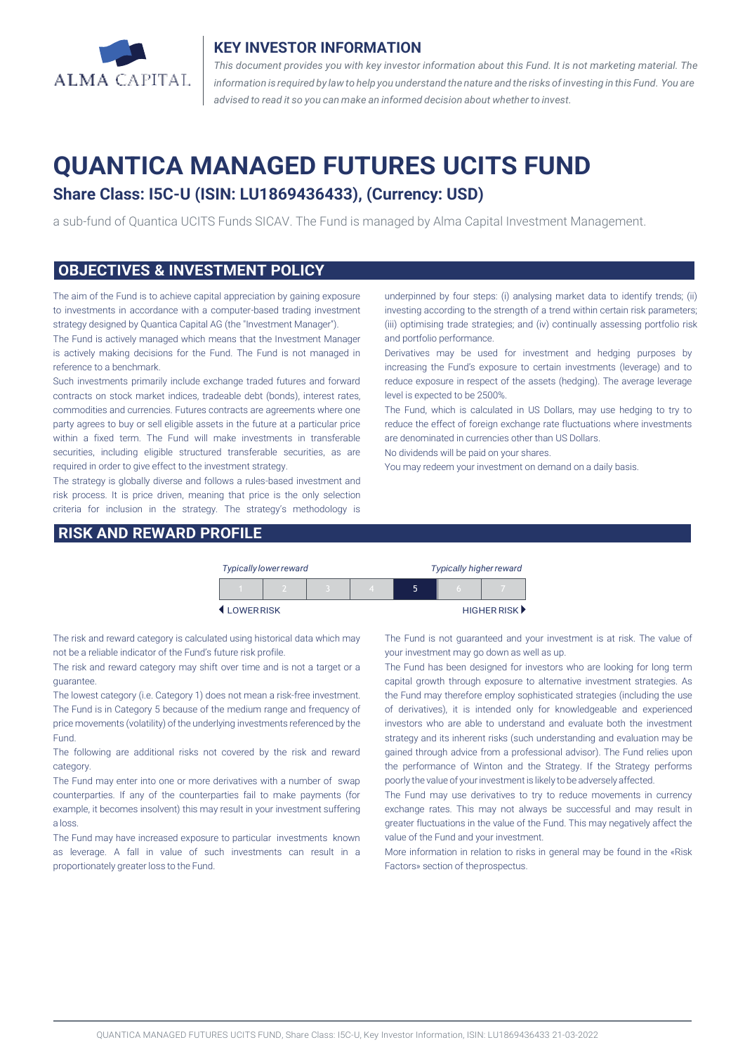

#### **KEY INVESTOR INFORMATION**

*This document provides you with key investor information about this Fund. It is not marketing material. The* information is required by law to help you understand the nature and the risks of investing in this Fund. You are *advised to read it so you can make an informed decision about whether to invest.*

# **QUANTICA MANAGED FUTURES UCITS FUND**

## **Share Class: I5C-U (ISIN: LU1869436433), (Currency: USD)**

a sub-fund of Quantica UCITS Funds SICAV. The Fund is managed by Alma Capital Investment Management.

#### **OBJECTIVES & INVESTMENT POLICY**

The aim of the Fund is to achieve capital appreciation by gaining exposure to investments in accordance with a computer-based trading investment strategy designed by Quantica Capital AG (the "Investment Manager").

The Fund is actively managed which means that the Investment Manager is actively making decisions for the Fund. The Fund is not managed in reference to a benchmark.

Such investments primarily include exchange traded futures and forward contracts on stock market indices, tradeable debt (bonds), interest rates, commodities and currencies. Futures contracts are agreements where one party agrees to buy or sell eligible assets in the future at a particular price within a fixed term. The Fund will make investments in transferable securities, including eligible structured transferable securities, as are required in order to give effect to the investment strategy.

The strategy is globally diverse and follows a rules-based investment and risk process. It is price driven, meaning that price is the only selection criteria for inclusion in the strategy. The strategy's methodology is

#### **RISK AND REWARD PROFILE**

underpinned by four steps: (i) analysing market data to identify trends; (ii) investing according to the strength of a trend within certain risk parameters; (iii) optimising trade strategies; and (iv) continually assessing portfolio risk and portfolio performance.

Derivatives may be used for investment and hedging purposes by increasing the Fund's exposure to certain investments (leverage) and to reduce exposure in respect of the assets (hedging). The average leverage level is expected to be 2500%.

The Fund, which is calculated in US Dollars, may use hedging to try to reduce the effect of foreign exchange rate fluctuations where investments are denominated in currencies other than US Dollars.

No dividends will be paid on your shares.

You may redeem your investment on demand on a daily basis.

|           |  | <b>Typically lower reward</b> |  | <b>Typically higher reward</b> |  |  |                                   |
|-----------|--|-------------------------------|--|--------------------------------|--|--|-----------------------------------|
|           |  |                               |  |                                |  |  |                                   |
| LOWERRISK |  |                               |  |                                |  |  | HIGHER RISK $\blacktriangleright$ |

The risk and reward category is calculated using historical data which may not be a reliable indicator of the Fund's future risk profile.

The risk and reward category may shift over time and is not a target or a guarantee.

The lowest category (i.e. Category 1) does not mean a risk-free investment. The Fund is in Category 5 because of the medium range and frequency of price movements (volatility) of the underlying investments referenced by the Fund.

The following are additional risks not covered by the risk and reward category.

The Fund may enter into one or more derivatives with a number of swap counterparties. If any of the counterparties fail to make payments (for example, it becomes insolvent) this may result in your investment suffering a loss.

The Fund may have increased exposure to particular investments known as leverage. A fall in value of such investments can result in a proportionately greater loss to the Fund.

The Fund is not guaranteed and your investment is at risk. The value of your investment may go down as well as up.

The Fund has been designed for investors who are looking for long term capital growth through exposure to alternative investment strategies. As the Fund may therefore employ sophisticated strategies (including the use of derivatives), it is intended only for knowledgeable and experienced investors who are able to understand and evaluate both the investment strategy and its inherent risks (such understanding and evaluation may be gained through advice from a professional advisor). The Fund relies upon the performance of Winton and the Strategy. If the Strategy performs poorly the value of your investment is likely to be adversely affected.

The Fund may use derivatives to try to reduce movements in currency exchange rates. This may not always be successful and may result in greater fluctuations in the value of the Fund. This may negatively affect the value of the Fund and your investment.

More information in relation to risks in general may be found in the «Risk Factors» section of theprospectus.